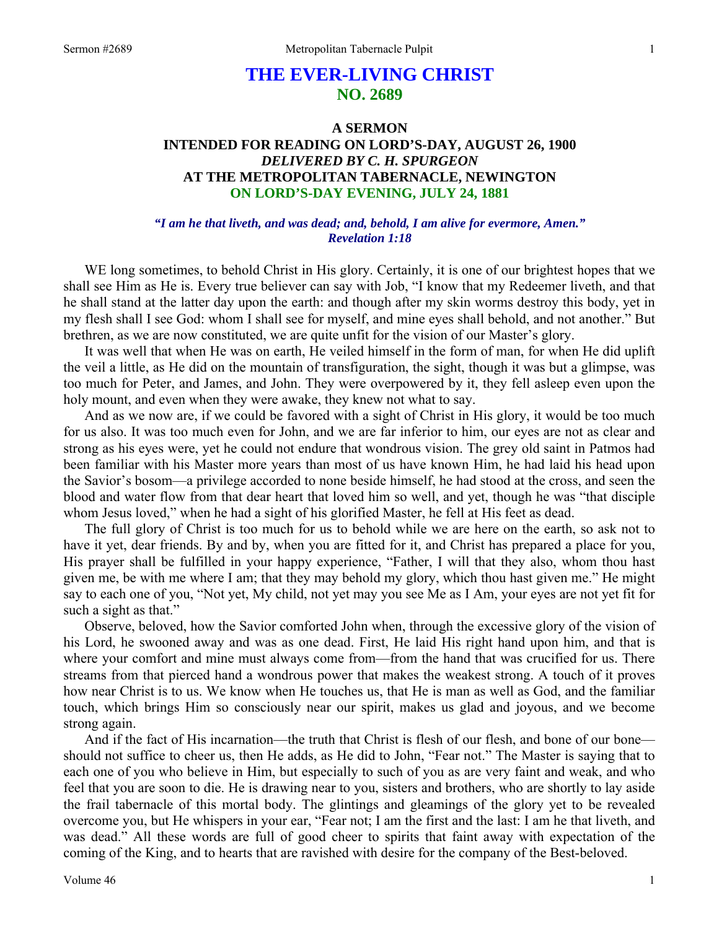# **THE EVER-LIVING CHRIST NO. 2689**

# **A SERMON INTENDED FOR READING ON LORD'S-DAY, AUGUST 26, 1900**  *DELIVERED BY C. H. SPURGEON*  **AT THE METROPOLITAN TABERNACLE, NEWINGTON ON LORD'S-DAY EVENING, JULY 24, 1881**

#### *"I am he that liveth, and was dead; and, behold, I am alive for evermore, Amen." Revelation 1:18*

WE long sometimes, to behold Christ in His glory. Certainly, it is one of our brightest hopes that we shall see Him as He is. Every true believer can say with Job, "I know that my Redeemer liveth, and that he shall stand at the latter day upon the earth: and though after my skin worms destroy this body, yet in my flesh shall I see God: whom I shall see for myself, and mine eyes shall behold, and not another." But brethren, as we are now constituted, we are quite unfit for the vision of our Master's glory.

It was well that when He was on earth, He veiled himself in the form of man, for when He did uplift the veil a little, as He did on the mountain of transfiguration, the sight, though it was but a glimpse, was too much for Peter, and James, and John. They were overpowered by it, they fell asleep even upon the holy mount, and even when they were awake, they knew not what to say.

And as we now are, if we could be favored with a sight of Christ in His glory, it would be too much for us also. It was too much even for John, and we are far inferior to him, our eyes are not as clear and strong as his eyes were, yet he could not endure that wondrous vision. The grey old saint in Patmos had been familiar with his Master more years than most of us have known Him, he had laid his head upon the Savior's bosom—a privilege accorded to none beside himself, he had stood at the cross, and seen the blood and water flow from that dear heart that loved him so well, and yet, though he was "that disciple whom Jesus loved," when he had a sight of his glorified Master, he fell at His feet as dead.

The full glory of Christ is too much for us to behold while we are here on the earth, so ask not to have it yet, dear friends. By and by, when you are fitted for it, and Christ has prepared a place for you, His prayer shall be fulfilled in your happy experience, "Father, I will that they also, whom thou hast given me, be with me where I am; that they may behold my glory, which thou hast given me." He might say to each one of you, "Not yet, My child, not yet may you see Me as I Am, your eyes are not yet fit for such a sight as that."

Observe, beloved, how the Savior comforted John when, through the excessive glory of the vision of his Lord, he swooned away and was as one dead. First, He laid His right hand upon him, and that is where your comfort and mine must always come from—from the hand that was crucified for us. There streams from that pierced hand a wondrous power that makes the weakest strong. A touch of it proves how near Christ is to us. We know when He touches us, that He is man as well as God, and the familiar touch, which brings Him so consciously near our spirit, makes us glad and joyous, and we become strong again.

And if the fact of His incarnation—the truth that Christ is flesh of our flesh, and bone of our bone should not suffice to cheer us, then He adds, as He did to John, "Fear not." The Master is saying that to each one of you who believe in Him, but especially to such of you as are very faint and weak, and who feel that you are soon to die. He is drawing near to you, sisters and brothers, who are shortly to lay aside the frail tabernacle of this mortal body. The glintings and gleamings of the glory yet to be revealed overcome you, but He whispers in your ear, "Fear not; I am the first and the last: I am he that liveth, and was dead." All these words are full of good cheer to spirits that faint away with expectation of the coming of the King, and to hearts that are ravished with desire for the company of the Best-beloved.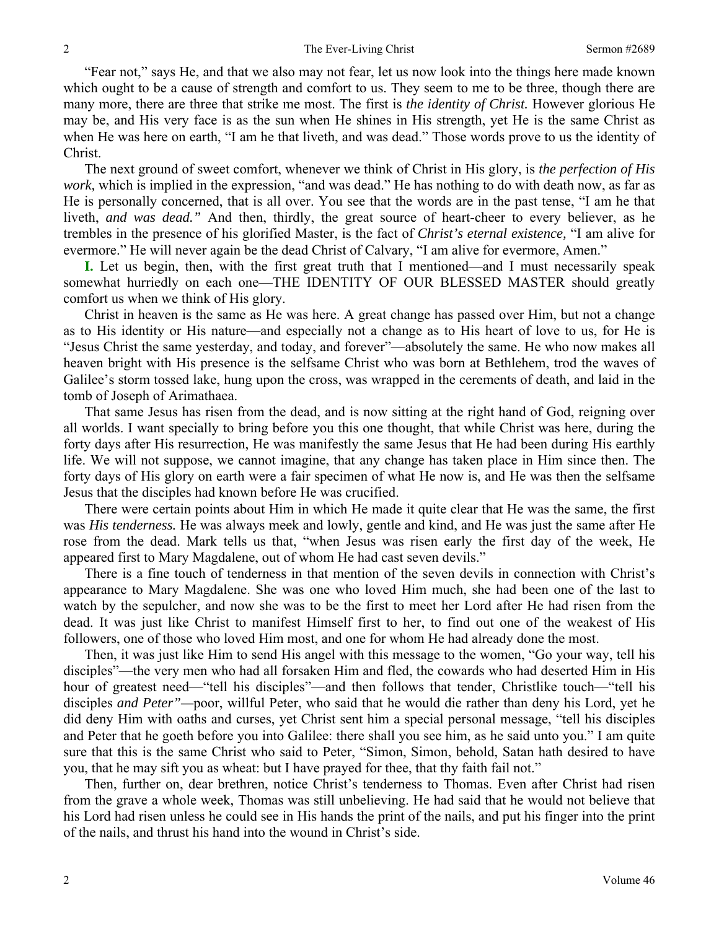"Fear not," says He, and that we also may not fear, let us now look into the things here made known which ought to be a cause of strength and comfort to us. They seem to me to be three, though there are many more, there are three that strike me most. The first is *the identity of Christ.* However glorious He may be, and His very face is as the sun when He shines in His strength, yet He is the same Christ as when He was here on earth, "I am he that liveth, and was dead." Those words prove to us the identity of Christ.

The next ground of sweet comfort, whenever we think of Christ in His glory, is *the perfection of His work,* which is implied in the expression, "and was dead." He has nothing to do with death now, as far as He is personally concerned, that is all over. You see that the words are in the past tense, "I am he that liveth, *and was dead.*" And then, thirdly, the great source of heart-cheer to every believer, as he trembles in the presence of his glorified Master, is the fact of *Christ's eternal existence,* "I am alive for evermore." He will never again be the dead Christ of Calvary, "I am alive for evermore, Amen."

**I.** Let us begin, then, with the first great truth that I mentioned—and I must necessarily speak somewhat hurriedly on each one—THE IDENTITY OF OUR BLESSED MASTER should greatly comfort us when we think of His glory.

Christ in heaven is the same as He was here. A great change has passed over Him, but not a change as to His identity or His nature—and especially not a change as to His heart of love to us, for He is "Jesus Christ the same yesterday, and today, and forever"—absolutely the same. He who now makes all heaven bright with His presence is the selfsame Christ who was born at Bethlehem, trod the waves of Galilee's storm tossed lake, hung upon the cross, was wrapped in the cerements of death, and laid in the tomb of Joseph of Arimathaea.

That same Jesus has risen from the dead, and is now sitting at the right hand of God, reigning over all worlds. I want specially to bring before you this one thought, that while Christ was here, during the forty days after His resurrection, He was manifestly the same Jesus that He had been during His earthly life. We will not suppose, we cannot imagine, that any change has taken place in Him since then. The forty days of His glory on earth were a fair specimen of what He now is, and He was then the selfsame Jesus that the disciples had known before He was crucified.

There were certain points about Him in which He made it quite clear that He was the same, the first was *His tenderness.* He was always meek and lowly, gentle and kind, and He was just the same after He rose from the dead. Mark tells us that, "when Jesus was risen early the first day of the week, He appeared first to Mary Magdalene, out of whom He had cast seven devils."

There is a fine touch of tenderness in that mention of the seven devils in connection with Christ's appearance to Mary Magdalene. She was one who loved Him much, she had been one of the last to watch by the sepulcher, and now she was to be the first to meet her Lord after He had risen from the dead. It was just like Christ to manifest Himself first to her, to find out one of the weakest of His followers, one of those who loved Him most, and one for whom He had already done the most.

Then, it was just like Him to send His angel with this message to the women, "Go your way, tell his disciples"—the very men who had all forsaken Him and fled, the cowards who had deserted Him in His hour of greatest need—"tell his disciples"—and then follows that tender, Christlike touch—"tell his disciples *and Peter"—*poor, willful Peter, who said that he would die rather than deny his Lord, yet he did deny Him with oaths and curses, yet Christ sent him a special personal message, "tell his disciples and Peter that he goeth before you into Galilee: there shall you see him, as he said unto you." I am quite sure that this is the same Christ who said to Peter, "Simon, Simon, behold, Satan hath desired to have you, that he may sift you as wheat: but I have prayed for thee, that thy faith fail not."

Then, further on, dear brethren, notice Christ's tenderness to Thomas. Even after Christ had risen from the grave a whole week, Thomas was still unbelieving. He had said that he would not believe that his Lord had risen unless he could see in His hands the print of the nails, and put his finger into the print of the nails, and thrust his hand into the wound in Christ's side.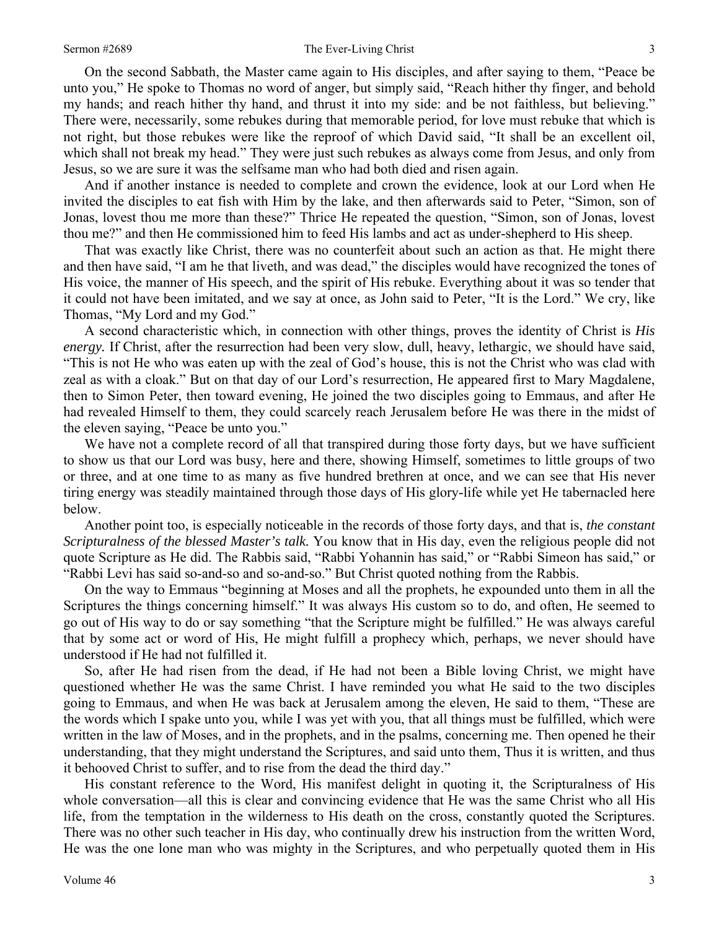On the second Sabbath, the Master came again to His disciples, and after saying to them, "Peace be unto you," He spoke to Thomas no word of anger, but simply said, "Reach hither thy finger, and behold my hands; and reach hither thy hand, and thrust it into my side: and be not faithless, but believing." There were, necessarily, some rebukes during that memorable period, for love must rebuke that which is not right, but those rebukes were like the reproof of which David said, "It shall be an excellent oil, which shall not break my head." They were just such rebukes as always come from Jesus, and only from Jesus, so we are sure it was the selfsame man who had both died and risen again.

And if another instance is needed to complete and crown the evidence, look at our Lord when He invited the disciples to eat fish with Him by the lake, and then afterwards said to Peter, "Simon, son of Jonas, lovest thou me more than these?" Thrice He repeated the question, "Simon, son of Jonas, lovest thou me?" and then He commissioned him to feed His lambs and act as under-shepherd to His sheep.

That was exactly like Christ, there was no counterfeit about such an action as that. He might there and then have said, "I am he that liveth, and was dead," the disciples would have recognized the tones of His voice, the manner of His speech, and the spirit of His rebuke. Everything about it was so tender that it could not have been imitated, and we say at once, as John said to Peter, "It is the Lord." We cry, like Thomas, "My Lord and my God."

A second characteristic which, in connection with other things, proves the identity of Christ is *His energy.* If Christ, after the resurrection had been very slow, dull, heavy, lethargic, we should have said, "This is not He who was eaten up with the zeal of God's house, this is not the Christ who was clad with zeal as with a cloak." But on that day of our Lord's resurrection, He appeared first to Mary Magdalene, then to Simon Peter, then toward evening, He joined the two disciples going to Emmaus, and after He had revealed Himself to them, they could scarcely reach Jerusalem before He was there in the midst of the eleven saying, "Peace be unto you."

We have not a complete record of all that transpired during those forty days, but we have sufficient to show us that our Lord was busy, here and there, showing Himself, sometimes to little groups of two or three, and at one time to as many as five hundred brethren at once, and we can see that His never tiring energy was steadily maintained through those days of His glory-life while yet He tabernacled here below.

Another point too, is especially noticeable in the records of those forty days, and that is, *the constant Scripturalness of the blessed Master's talk.* You know that in His day, even the religious people did not quote Scripture as He did. The Rabbis said, "Rabbi Yohannin has said," or "Rabbi Simeon has said," or "Rabbi Levi has said so-and-so and so-and-so." But Christ quoted nothing from the Rabbis.

On the way to Emmaus "beginning at Moses and all the prophets, he expounded unto them in all the Scriptures the things concerning himself." It was always His custom so to do, and often, He seemed to go out of His way to do or say something "that the Scripture might be fulfilled." He was always careful that by some act or word of His, He might fulfill a prophecy which, perhaps, we never should have understood if He had not fulfilled it.

So, after He had risen from the dead, if He had not been a Bible loving Christ, we might have questioned whether He was the same Christ. I have reminded you what He said to the two disciples going to Emmaus, and when He was back at Jerusalem among the eleven, He said to them, "These are the words which I spake unto you, while I was yet with you, that all things must be fulfilled, which were written in the law of Moses, and in the prophets, and in the psalms, concerning me. Then opened he their understanding, that they might understand the Scriptures, and said unto them, Thus it is written, and thus it behooved Christ to suffer, and to rise from the dead the third day."

His constant reference to the Word, His manifest delight in quoting it, the Scripturalness of His whole conversation—all this is clear and convincing evidence that He was the same Christ who all His life, from the temptation in the wilderness to His death on the cross, constantly quoted the Scriptures. There was no other such teacher in His day, who continually drew his instruction from the written Word, He was the one lone man who was mighty in the Scriptures, and who perpetually quoted them in His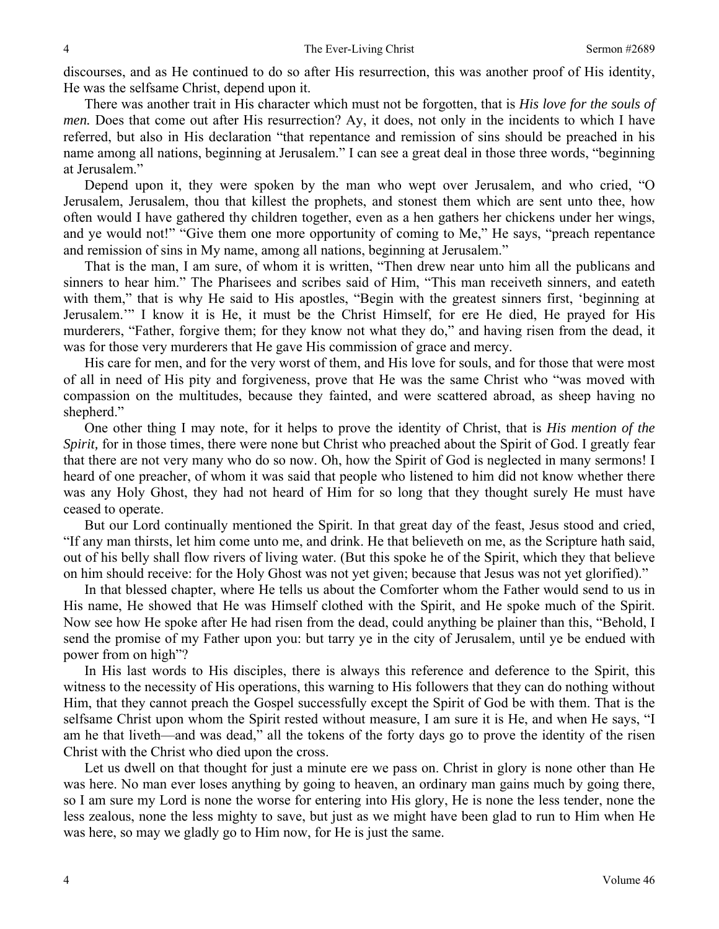discourses, and as He continued to do so after His resurrection, this was another proof of His identity, He was the selfsame Christ, depend upon it.

There was another trait in His character which must not be forgotten, that is *His love for the souls of men.* Does that come out after His resurrection? Ay, it does, not only in the incidents to which I have referred, but also in His declaration "that repentance and remission of sins should be preached in his name among all nations, beginning at Jerusalem." I can see a great deal in those three words, "beginning at Jerusalem."

Depend upon it, they were spoken by the man who wept over Jerusalem, and who cried, "O Jerusalem, Jerusalem, thou that killest the prophets, and stonest them which are sent unto thee, how often would I have gathered thy children together, even as a hen gathers her chickens under her wings, and ye would not!" "Give them one more opportunity of coming to Me," He says, "preach repentance and remission of sins in My name, among all nations, beginning at Jerusalem."

That is the man, I am sure, of whom it is written, "Then drew near unto him all the publicans and sinners to hear him." The Pharisees and scribes said of Him, "This man receiveth sinners, and eateth with them," that is why He said to His apostles, "Begin with the greatest sinners first, 'beginning at Jerusalem.'" I know it is He, it must be the Christ Himself, for ere He died, He prayed for His murderers, "Father, forgive them; for they know not what they do," and having risen from the dead, it was for those very murderers that He gave His commission of grace and mercy.

His care for men, and for the very worst of them, and His love for souls, and for those that were most of all in need of His pity and forgiveness, prove that He was the same Christ who "was moved with compassion on the multitudes, because they fainted, and were scattered abroad, as sheep having no shepherd."

One other thing I may note, for it helps to prove the identity of Christ, that is *His mention of the Spirit*, for in those times, there were none but Christ who preached about the Spirit of God. I greatly fear that there are not very many who do so now. Oh, how the Spirit of God is neglected in many sermons! I heard of one preacher, of whom it was said that people who listened to him did not know whether there was any Holy Ghost, they had not heard of Him for so long that they thought surely He must have ceased to operate.

But our Lord continually mentioned the Spirit. In that great day of the feast, Jesus stood and cried, "If any man thirsts, let him come unto me, and drink. He that believeth on me, as the Scripture hath said, out of his belly shall flow rivers of living water. (But this spoke he of the Spirit, which they that believe on him should receive: for the Holy Ghost was not yet given; because that Jesus was not yet glorified)."

In that blessed chapter, where He tells us about the Comforter whom the Father would send to us in His name, He showed that He was Himself clothed with the Spirit, and He spoke much of the Spirit. Now see how He spoke after He had risen from the dead, could anything be plainer than this, "Behold, I send the promise of my Father upon you: but tarry ye in the city of Jerusalem, until ye be endued with power from on high"?

In His last words to His disciples, there is always this reference and deference to the Spirit, this witness to the necessity of His operations, this warning to His followers that they can do nothing without Him, that they cannot preach the Gospel successfully except the Spirit of God be with them. That is the selfsame Christ upon whom the Spirit rested without measure, I am sure it is He, and when He says, "I am he that liveth—and was dead," all the tokens of the forty days go to prove the identity of the risen Christ with the Christ who died upon the cross.

Let us dwell on that thought for just a minute ere we pass on. Christ in glory is none other than He was here. No man ever loses anything by going to heaven, an ordinary man gains much by going there, so I am sure my Lord is none the worse for entering into His glory, He is none the less tender, none the less zealous, none the less mighty to save, but just as we might have been glad to run to Him when He was here, so may we gladly go to Him now, for He is just the same.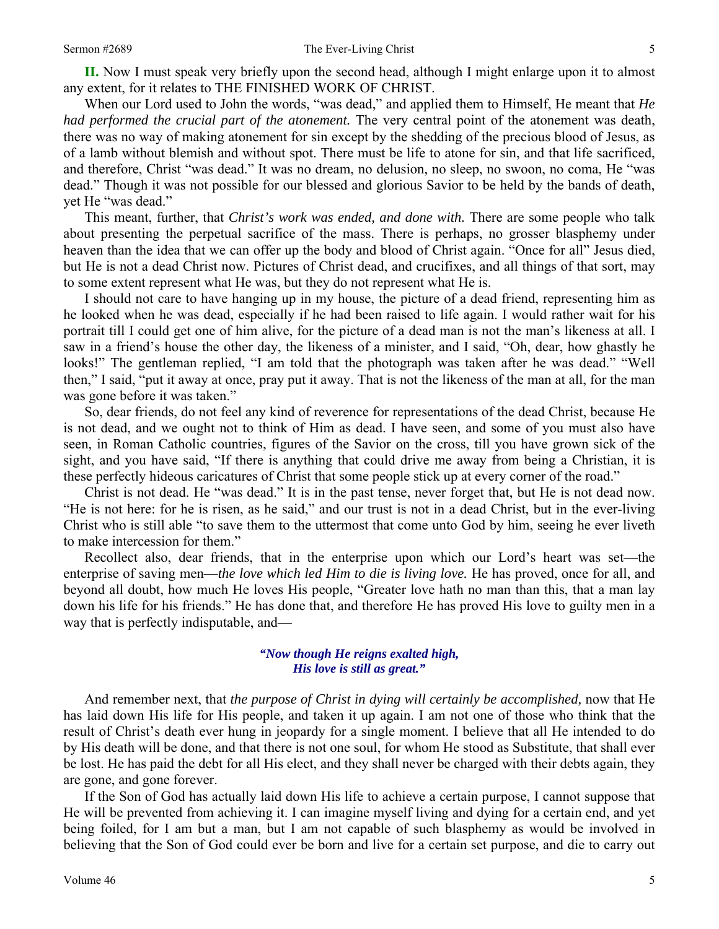**II.** Now I must speak very briefly upon the second head, although I might enlarge upon it to almost any extent, for it relates to THE FINISHED WORK OF CHRIST.

When our Lord used to John the words, "was dead," and applied them to Himself, He meant that *He had performed the crucial part of the atonement*. The very central point of the atonement was death, there was no way of making atonement for sin except by the shedding of the precious blood of Jesus, as of a lamb without blemish and without spot. There must be life to atone for sin, and that life sacrificed, and therefore, Christ "was dead." It was no dream, no delusion, no sleep, no swoon, no coma, He "was dead." Though it was not possible for our blessed and glorious Savior to be held by the bands of death, yet He "was dead."

This meant, further, that *Christ's work was ended, and done with.* There are some people who talk about presenting the perpetual sacrifice of the mass. There is perhaps, no grosser blasphemy under heaven than the idea that we can offer up the body and blood of Christ again. "Once for all" Jesus died, but He is not a dead Christ now. Pictures of Christ dead, and crucifixes, and all things of that sort, may to some extent represent what He was, but they do not represent what He is.

I should not care to have hanging up in my house, the picture of a dead friend, representing him as he looked when he was dead, especially if he had been raised to life again. I would rather wait for his portrait till I could get one of him alive, for the picture of a dead man is not the man's likeness at all. I saw in a friend's house the other day, the likeness of a minister, and I said, "Oh, dear, how ghastly he looks!" The gentleman replied, "I am told that the photograph was taken after he was dead." "Well then," I said, "put it away at once, pray put it away. That is not the likeness of the man at all, for the man was gone before it was taken."

So, dear friends, do not feel any kind of reverence for representations of the dead Christ, because He is not dead, and we ought not to think of Him as dead. I have seen, and some of you must also have seen, in Roman Catholic countries, figures of the Savior on the cross, till you have grown sick of the sight, and you have said, "If there is anything that could drive me away from being a Christian, it is these perfectly hideous caricatures of Christ that some people stick up at every corner of the road."

Christ is not dead. He "was dead." It is in the past tense, never forget that, but He is not dead now. "He is not here: for he is risen, as he said," and our trust is not in a dead Christ, but in the ever-living Christ who is still able "to save them to the uttermost that come unto God by him, seeing he ever liveth to make intercession for them."

Recollect also, dear friends, that in the enterprise upon which our Lord's heart was set—the enterprise of saving men—*the love which led Him to die is living love*. He has proved, once for all, and beyond all doubt, how much He loves His people, "Greater love hath no man than this, that a man lay down his life for his friends." He has done that, and therefore He has proved His love to guilty men in a way that is perfectly indisputable, and—

## *"Now though He reigns exalted high, His love is still as great."*

And remember next, that *the purpose of Christ in dying will certainly be accomplished*, now that He has laid down His life for His people, and taken it up again. I am not one of those who think that the result of Christ's death ever hung in jeopardy for a single moment. I believe that all He intended to do by His death will be done, and that there is not one soul, for whom He stood as Substitute, that shall ever be lost. He has paid the debt for all His elect, and they shall never be charged with their debts again, they are gone, and gone forever.

If the Son of God has actually laid down His life to achieve a certain purpose, I cannot suppose that He will be prevented from achieving it. I can imagine myself living and dying for a certain end, and yet being foiled, for I am but a man, but I am not capable of such blasphemy as would be involved in believing that the Son of God could ever be born and live for a certain set purpose, and die to carry out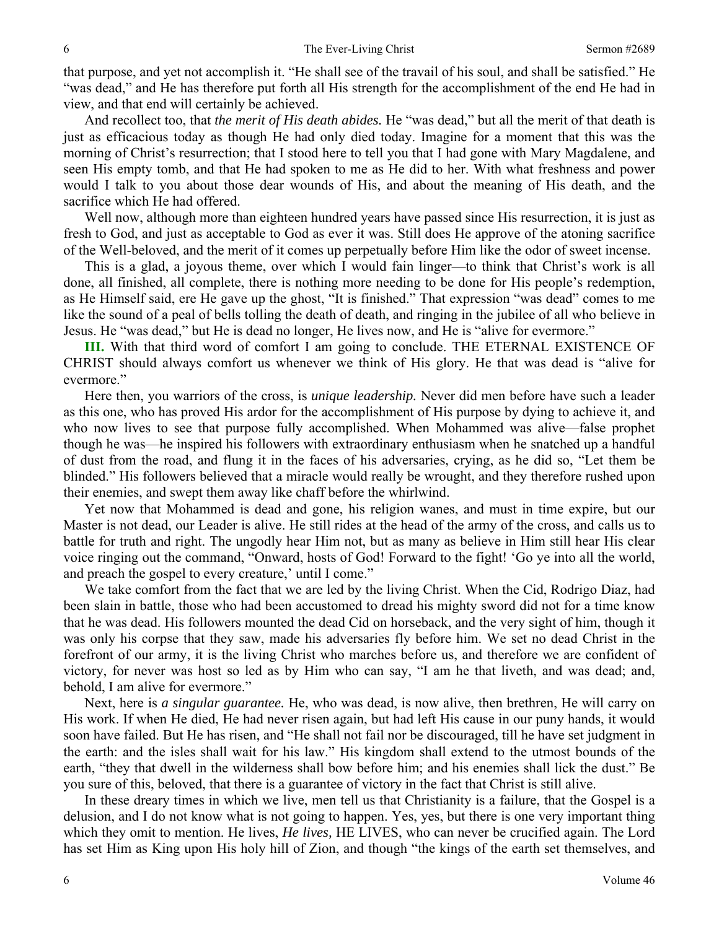that purpose, and yet not accomplish it. "He shall see of the travail of his soul, and shall be satisfied." He "was dead," and He has therefore put forth all His strength for the accomplishment of the end He had in view, and that end will certainly be achieved.

And recollect too, that *the merit of His death abides.* He "was dead," but all the merit of that death is just as efficacious today as though He had only died today. Imagine for a moment that this was the morning of Christ's resurrection; that I stood here to tell you that I had gone with Mary Magdalene, and seen His empty tomb, and that He had spoken to me as He did to her. With what freshness and power would I talk to you about those dear wounds of His, and about the meaning of His death, and the sacrifice which He had offered.

Well now, although more than eighteen hundred years have passed since His resurrection, it is just as fresh to God, and just as acceptable to God as ever it was. Still does He approve of the atoning sacrifice of the Well-beloved, and the merit of it comes up perpetually before Him like the odor of sweet incense.

This is a glad, a joyous theme, over which I would fain linger—to think that Christ's work is all done, all finished, all complete, there is nothing more needing to be done for His people's redemption, as He Himself said, ere He gave up the ghost, "It is finished." That expression "was dead" comes to me like the sound of a peal of bells tolling the death of death, and ringing in the jubilee of all who believe in Jesus. He "was dead," but He is dead no longer, He lives now, and He is "alive for evermore."

**III.** With that third word of comfort I am going to conclude. THE ETERNAL EXISTENCE OF CHRIST should always comfort us whenever we think of His glory. He that was dead is "alive for evermore."

Here then, you warriors of the cross, is *unique leadership.* Never did men before have such a leader as this one, who has proved His ardor for the accomplishment of His purpose by dying to achieve it, and who now lives to see that purpose fully accomplished. When Mohammed was alive—false prophet though he was—he inspired his followers with extraordinary enthusiasm when he snatched up a handful of dust from the road, and flung it in the faces of his adversaries, crying, as he did so, "Let them be blinded." His followers believed that a miracle would really be wrought, and they therefore rushed upon their enemies, and swept them away like chaff before the whirlwind.

Yet now that Mohammed is dead and gone, his religion wanes, and must in time expire, but our Master is not dead, our Leader is alive. He still rides at the head of the army of the cross, and calls us to battle for truth and right. The ungodly hear Him not, but as many as believe in Him still hear His clear voice ringing out the command, "Onward, hosts of God! Forward to the fight! 'Go ye into all the world, and preach the gospel to every creature,' until I come."

We take comfort from the fact that we are led by the living Christ. When the Cid, Rodrigo Diaz, had been slain in battle, those who had been accustomed to dread his mighty sword did not for a time know that he was dead. His followers mounted the dead Cid on horseback, and the very sight of him, though it was only his corpse that they saw, made his adversaries fly before him. We set no dead Christ in the forefront of our army, it is the living Christ who marches before us, and therefore we are confident of victory, for never was host so led as by Him who can say, "I am he that liveth, and was dead; and, behold, I am alive for evermore."

Next, here is *a singular guarantee.* He, who was dead, is now alive, then brethren, He will carry on His work. If when He died, He had never risen again, but had left His cause in our puny hands, it would soon have failed. But He has risen, and "He shall not fail nor be discouraged, till he have set judgment in the earth: and the isles shall wait for his law." His kingdom shall extend to the utmost bounds of the earth, "they that dwell in the wilderness shall bow before him; and his enemies shall lick the dust." Be you sure of this, beloved, that there is a guarantee of victory in the fact that Christ is still alive.

In these dreary times in which we live, men tell us that Christianity is a failure, that the Gospel is a delusion, and I do not know what is not going to happen. Yes, yes, but there is one very important thing which they omit to mention. He lives, *He lives,* HE LIVES, who can never be crucified again. The Lord has set Him as King upon His holy hill of Zion, and though "the kings of the earth set themselves, and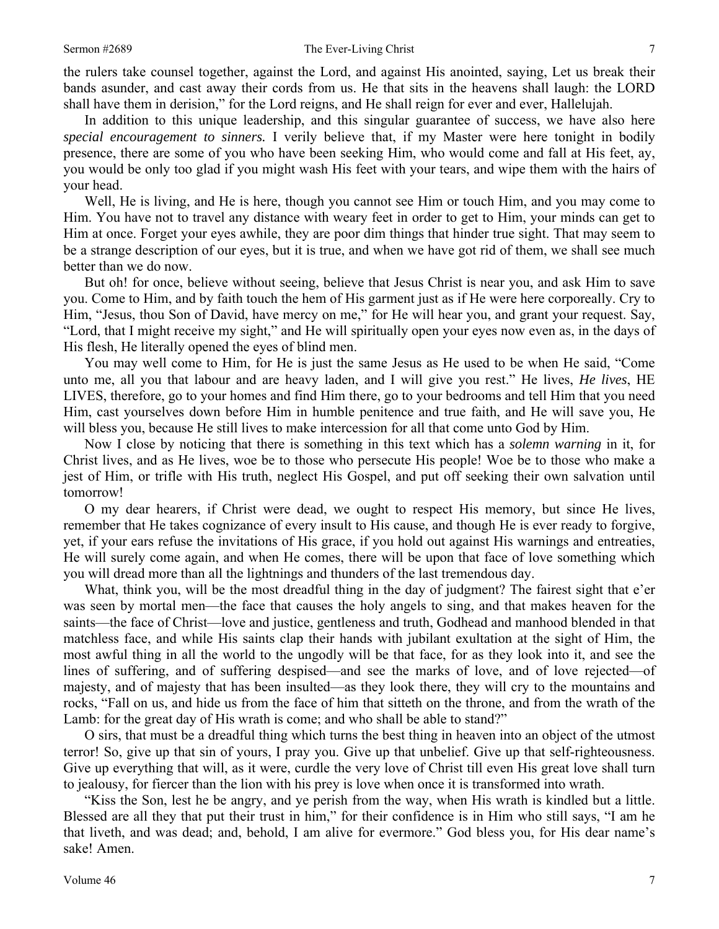the rulers take counsel together, against the Lord, and against His anointed, saying, Let us break their bands asunder, and cast away their cords from us. He that sits in the heavens shall laugh: the LORD shall have them in derision," for the Lord reigns, and He shall reign for ever and ever, Hallelujah.

In addition to this unique leadership, and this singular guarantee of success, we have also here *special encouragement to sinners.* I verily believe that, if my Master were here tonight in bodily presence, there are some of you who have been seeking Him, who would come and fall at His feet, ay, you would be only too glad if you might wash His feet with your tears, and wipe them with the hairs of your head.

Well, He is living, and He is here, though you cannot see Him or touch Him, and you may come to Him. You have not to travel any distance with weary feet in order to get to Him, your minds can get to Him at once. Forget your eyes awhile, they are poor dim things that hinder true sight. That may seem to be a strange description of our eyes, but it is true, and when we have got rid of them, we shall see much better than we do now.

But oh! for once, believe without seeing, believe that Jesus Christ is near you, and ask Him to save you. Come to Him, and by faith touch the hem of His garment just as if He were here corporeally. Cry to Him, "Jesus, thou Son of David, have mercy on me," for He will hear you, and grant your request. Say, "Lord, that I might receive my sight," and He will spiritually open your eyes now even as, in the days of His flesh, He literally opened the eyes of blind men.

You may well come to Him, for He is just the same Jesus as He used to be when He said, "Come unto me, all you that labour and are heavy laden, and I will give you rest." He lives, *He lives*, HE LIVES, therefore, go to your homes and find Him there, go to your bedrooms and tell Him that you need Him, cast yourselves down before Him in humble penitence and true faith, and He will save you, He will bless you, because He still lives to make intercession for all that come unto God by Him.

Now I close by noticing that there is something in this text which has a *solemn warning* in it, for Christ lives, and as He lives, woe be to those who persecute His people! Woe be to those who make a jest of Him, or trifle with His truth, neglect His Gospel, and put off seeking their own salvation until tomorrow!

O my dear hearers, if Christ were dead, we ought to respect His memory, but since He lives, remember that He takes cognizance of every insult to His cause, and though He is ever ready to forgive, yet, if your ears refuse the invitations of His grace, if you hold out against His warnings and entreaties, He will surely come again, and when He comes, there will be upon that face of love something which you will dread more than all the lightnings and thunders of the last tremendous day.

What, think you, will be the most dreadful thing in the day of judgment? The fairest sight that e'er was seen by mortal men—the face that causes the holy angels to sing, and that makes heaven for the saints—the face of Christ—love and justice, gentleness and truth, Godhead and manhood blended in that matchless face, and while His saints clap their hands with jubilant exultation at the sight of Him, the most awful thing in all the world to the ungodly will be that face, for as they look into it, and see the lines of suffering, and of suffering despised—and see the marks of love, and of love rejected—of majesty, and of majesty that has been insulted—as they look there, they will cry to the mountains and rocks, "Fall on us, and hide us from the face of him that sitteth on the throne, and from the wrath of the Lamb: for the great day of His wrath is come; and who shall be able to stand?"

O sirs, that must be a dreadful thing which turns the best thing in heaven into an object of the utmost terror! So, give up that sin of yours, I pray you. Give up that unbelief. Give up that self-righteousness. Give up everything that will, as it were, curdle the very love of Christ till even His great love shall turn to jealousy, for fiercer than the lion with his prey is love when once it is transformed into wrath.

"Kiss the Son, lest he be angry, and ye perish from the way, when His wrath is kindled but a little. Blessed are all they that put their trust in him," for their confidence is in Him who still says, "I am he that liveth, and was dead; and, behold, I am alive for evermore." God bless you, for His dear name's sake! Amen.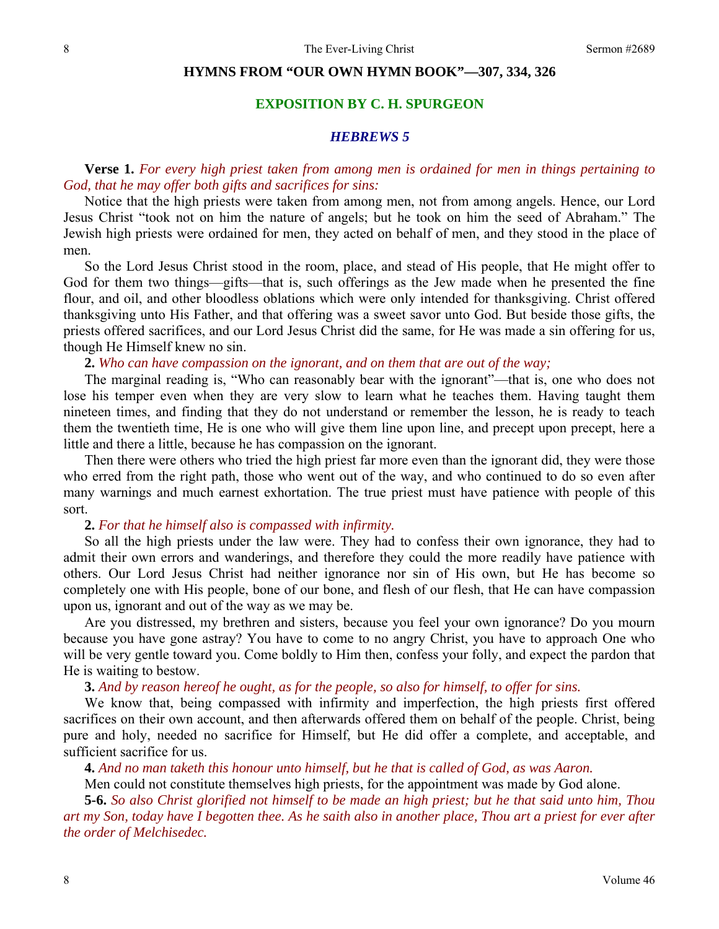### **HYMNS FROM "OUR OWN HYMN BOOK"—307, 334, 326**

# **EXPOSITION BY C. H. SPURGEON**

### *HEBREWS 5*

# **Verse 1.** *For every high priest taken from among men is ordained for men in things pertaining to God, that he may offer both gifts and sacrifices for sins:*

Notice that the high priests were taken from among men, not from among angels. Hence, our Lord Jesus Christ "took not on him the nature of angels; but he took on him the seed of Abraham." The Jewish high priests were ordained for men, they acted on behalf of men, and they stood in the place of men.

So the Lord Jesus Christ stood in the room, place, and stead of His people, that He might offer to God for them two things—gifts—that is, such offerings as the Jew made when he presented the fine flour, and oil, and other bloodless oblations which were only intended for thanksgiving. Christ offered thanksgiving unto His Father, and that offering was a sweet savor unto God. But beside those gifts, the priests offered sacrifices, and our Lord Jesus Christ did the same, for He was made a sin offering for us, though He Himself knew no sin.

### **2.** *Who can have compassion on the ignorant, and on them that are out of the way;*

The marginal reading is, "Who can reasonably bear with the ignorant"—that is, one who does not lose his temper even when they are very slow to learn what he teaches them. Having taught them nineteen times, and finding that they do not understand or remember the lesson, he is ready to teach them the twentieth time, He is one who will give them line upon line, and precept upon precept, here a little and there a little, because he has compassion on the ignorant.

Then there were others who tried the high priest far more even than the ignorant did, they were those who erred from the right path, those who went out of the way, and who continued to do so even after many warnings and much earnest exhortation. The true priest must have patience with people of this sort.

### **2.** *For that he himself also is compassed with infirmity.*

So all the high priests under the law were. They had to confess their own ignorance, they had to admit their own errors and wanderings, and therefore they could the more readily have patience with others. Our Lord Jesus Christ had neither ignorance nor sin of His own, but He has become so completely one with His people, bone of our bone, and flesh of our flesh, that He can have compassion upon us, ignorant and out of the way as we may be.

Are you distressed, my brethren and sisters, because you feel your own ignorance? Do you mourn because you have gone astray? You have to come to no angry Christ, you have to approach One who will be very gentle toward you. Come boldly to Him then, confess your folly, and expect the pardon that He is waiting to bestow.

### **3.** *And by reason hereof he ought, as for the people, so also for himself, to offer for sins.*

We know that, being compassed with infirmity and imperfection, the high priests first offered sacrifices on their own account, and then afterwards offered them on behalf of the people. Christ, being pure and holy, needed no sacrifice for Himself, but He did offer a complete, and acceptable, and sufficient sacrifice for us.

**4.** *And no man taketh this honour unto himself, but he that is called of God, as was Aaron.* 

Men could not constitute themselves high priests, for the appointment was made by God alone.

**5-6.** *So also Christ glorified not himself to be made an high priest; but he that said unto him, Thou art my Son, today have I begotten thee. As he saith also in another place, Thou art a priest for ever after the order of Melchisedec.*